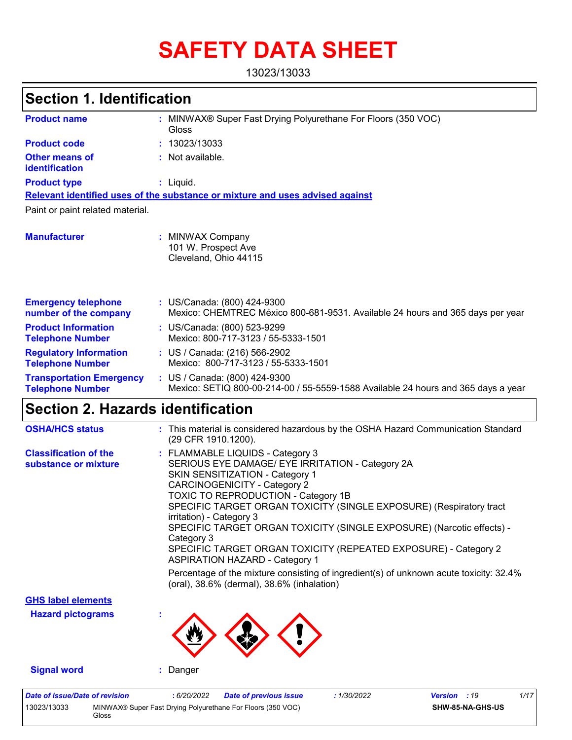# **SAFETY DATA SHEET**

13023/13033

# **Section 1. Identification**

| <b>Product name</b>                                        | : MINWAX® Super Fast Drying Polyurethane For Floors (350 VOC)<br>Gloss                                             |
|------------------------------------------------------------|--------------------------------------------------------------------------------------------------------------------|
| <b>Product code</b>                                        | : 13023/13033                                                                                                      |
| <b>Other means of</b><br>identification                    | : Not available.                                                                                                   |
| <b>Product type</b>                                        | $:$ Liquid.                                                                                                        |
|                                                            | Relevant identified uses of the substance or mixture and uses advised against                                      |
| Paint or paint related material.                           |                                                                                                                    |
| <b>Manufacturer</b>                                        | <b>MINWAX Company</b><br>101 W. Prospect Ave<br>Cleveland, Ohio 44115                                              |
| <b>Emergency telephone</b><br>number of the company        | : US/Canada: (800) 424-9300<br>Mexico: CHEMTREC México 800-681-9531. Available 24 hours and 365 days per year      |
| <b>Product Information</b><br><b>Telephone Number</b>      | : US/Canada: (800) 523-9299<br>Mexico: 800-717-3123 / 55-5333-1501                                                 |
| <b>Regulatory Information</b><br><b>Telephone Number</b>   | : US / Canada: (216) 566-2902<br>Mexico: 800-717-3123 / 55-5333-1501                                               |
| <b>Transportation Emergency</b><br><b>Telephone Number</b> | : US / Canada: (800) 424-9300<br>Mexico: SETIQ 800-00-214-00 / 55-5559-1588 Available 24 hours and 365 days a year |

## **Section 2. Hazards identification**

Gloss

| <b>OSHA/HCS status</b>                               | : This material is considered hazardous by the OSHA Hazard Communication Standard<br>(29 CFR 1910.1200).                                                                                                                                                                                                                                                                                                                                                                                                                                                                                                                                            |
|------------------------------------------------------|-----------------------------------------------------------------------------------------------------------------------------------------------------------------------------------------------------------------------------------------------------------------------------------------------------------------------------------------------------------------------------------------------------------------------------------------------------------------------------------------------------------------------------------------------------------------------------------------------------------------------------------------------------|
| <b>Classification of the</b><br>substance or mixture | : FLAMMABLE LIQUIDS - Category 3<br>SERIOUS EYE DAMAGE/ EYE IRRITATION - Category 2A<br>SKIN SENSITIZATION - Category 1<br><b>CARCINOGENICITY - Category 2</b><br>TOXIC TO REPRODUCTION - Category 1B<br>SPECIFIC TARGET ORGAN TOXICITY (SINGLE EXPOSURE) (Respiratory tract<br>irritation) - Category 3<br>SPECIFIC TARGET ORGAN TOXICITY (SINGLE EXPOSURE) (Narcotic effects) -<br>Category 3<br>SPECIFIC TARGET ORGAN TOXICITY (REPEATED EXPOSURE) - Category 2<br><b>ASPIRATION HAZARD - Category 1</b><br>Percentage of the mixture consisting of ingredient(s) of unknown acute toxicity: 32.4%<br>(oral), 38.6% (dermal), 38.6% (inhalation) |
| <b>GHS label elements</b>                            |                                                                                                                                                                                                                                                                                                                                                                                                                                                                                                                                                                                                                                                     |
| <b>Hazard pictograms</b>                             |                                                                                                                                                                                                                                                                                                                                                                                                                                                                                                                                                                                                                                                     |
| <b>Signal word</b>                                   | : Danger                                                                                                                                                                                                                                                                                                                                                                                                                                                                                                                                                                                                                                            |
| <b>Date of issue/Date of revision</b><br>13023/13033 | : 1/30/2022<br>1/17<br>:6/20/2022<br><b>Date of previous issue</b><br><b>Version</b> : 19<br>MINWAX® Super Fast Drying Polyurethane For Floors (350 VOC)<br>SHW-85-NA-GHS-US                                                                                                                                                                                                                                                                                                                                                                                                                                                                        |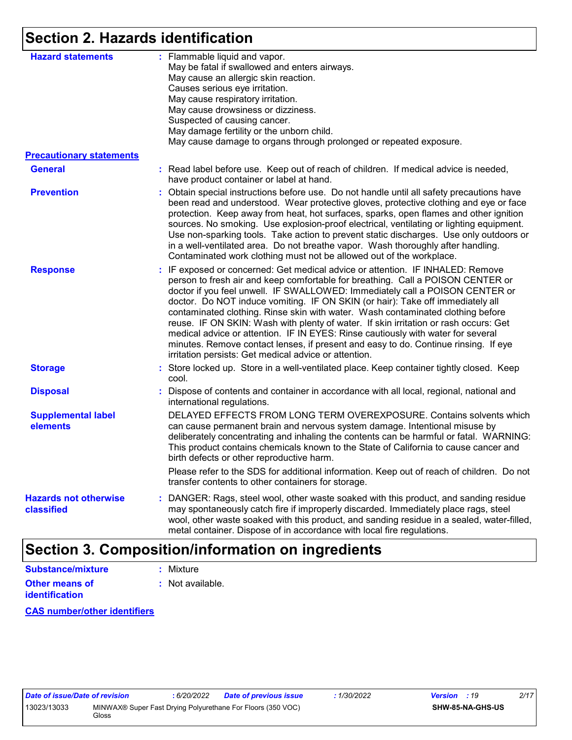## **Section 2. Hazards identification**

| <b>Hazard statements</b>                   | : Flammable liquid and vapor.<br>May be fatal if swallowed and enters airways.<br>May cause an allergic skin reaction.<br>Causes serious eye irritation.<br>May cause respiratory irritation.<br>May cause drowsiness or dizziness.<br>Suspected of causing cancer.<br>May damage fertility or the unborn child.<br>May cause damage to organs through prolonged or repeated exposure.                                                                                                                                                                                                                                                                                                                                                             |  |
|--------------------------------------------|----------------------------------------------------------------------------------------------------------------------------------------------------------------------------------------------------------------------------------------------------------------------------------------------------------------------------------------------------------------------------------------------------------------------------------------------------------------------------------------------------------------------------------------------------------------------------------------------------------------------------------------------------------------------------------------------------------------------------------------------------|--|
| <b>Precautionary statements</b>            |                                                                                                                                                                                                                                                                                                                                                                                                                                                                                                                                                                                                                                                                                                                                                    |  |
| <b>General</b>                             | : Read label before use. Keep out of reach of children. If medical advice is needed,<br>have product container or label at hand.                                                                                                                                                                                                                                                                                                                                                                                                                                                                                                                                                                                                                   |  |
| <b>Prevention</b>                          | : Obtain special instructions before use. Do not handle until all safety precautions have<br>been read and understood. Wear protective gloves, protective clothing and eye or face<br>protection. Keep away from heat, hot surfaces, sparks, open flames and other ignition<br>sources. No smoking. Use explosion-proof electrical, ventilating or lighting equipment.<br>Use non-sparking tools. Take action to prevent static discharges. Use only outdoors or<br>in a well-ventilated area. Do not breathe vapor. Wash thoroughly after handling.<br>Contaminated work clothing must not be allowed out of the workplace.                                                                                                                       |  |
| <b>Response</b>                            | : IF exposed or concerned: Get medical advice or attention. IF INHALED: Remove<br>person to fresh air and keep comfortable for breathing. Call a POISON CENTER or<br>doctor if you feel unwell. IF SWALLOWED: Immediately call a POISON CENTER or<br>doctor. Do NOT induce vomiting. IF ON SKIN (or hair): Take off immediately all<br>contaminated clothing. Rinse skin with water. Wash contaminated clothing before<br>reuse. IF ON SKIN: Wash with plenty of water. If skin irritation or rash occurs: Get<br>medical advice or attention. IF IN EYES: Rinse cautiously with water for several<br>minutes. Remove contact lenses, if present and easy to do. Continue rinsing. If eye<br>irritation persists: Get medical advice or attention. |  |
| <b>Storage</b>                             | : Store locked up. Store in a well-ventilated place. Keep container tightly closed. Keep<br>cool.                                                                                                                                                                                                                                                                                                                                                                                                                                                                                                                                                                                                                                                  |  |
| <b>Disposal</b>                            | Dispose of contents and container in accordance with all local, regional, national and<br>international regulations.                                                                                                                                                                                                                                                                                                                                                                                                                                                                                                                                                                                                                               |  |
| <b>Supplemental label</b><br>elements      | DELAYED EFFECTS FROM LONG TERM OVEREXPOSURE. Contains solvents which<br>can cause permanent brain and nervous system damage. Intentional misuse by<br>deliberately concentrating and inhaling the contents can be harmful or fatal. WARNING:<br>This product contains chemicals known to the State of California to cause cancer and<br>birth defects or other reproductive harm.                                                                                                                                                                                                                                                                                                                                                                  |  |
|                                            | Please refer to the SDS for additional information. Keep out of reach of children. Do not<br>transfer contents to other containers for storage.                                                                                                                                                                                                                                                                                                                                                                                                                                                                                                                                                                                                    |  |
| <b>Hazards not otherwise</b><br>classified | DANGER: Rags, steel wool, other waste soaked with this product, and sanding residue<br>may spontaneously catch fire if improperly discarded. Immediately place rags, steel<br>wool, other waste soaked with this product, and sanding residue in a sealed, water-filled,<br>metal container. Dispose of in accordance with local fire regulations.                                                                                                                                                                                                                                                                                                                                                                                                 |  |

# **Section 3. Composition/information on ingredients**

| Substance/mixture     |  |  |
|-----------------------|--|--|
| <b>Other means of</b> |  |  |

**identification**

**:** Mixture

**:** Not available.

**CAS number/other identifiers**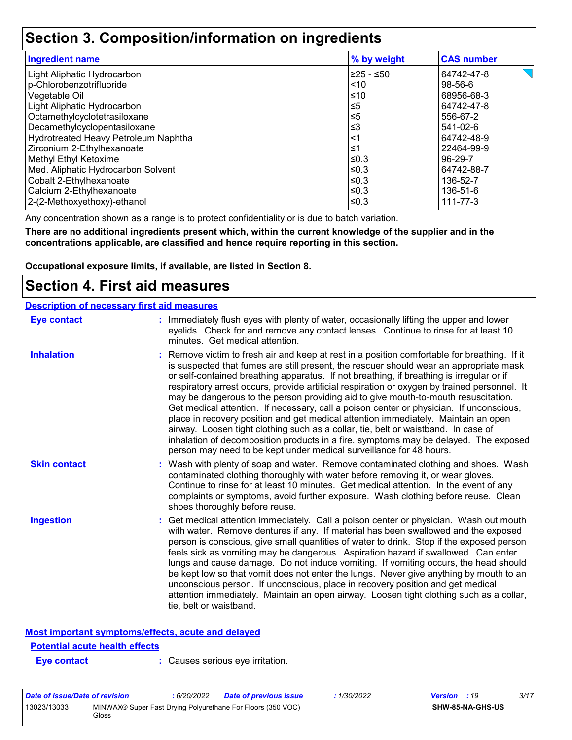### **Section 3. Composition/information on ingredients**

| <b>Ingredient name</b>               | % by weight | <b>CAS number</b> |
|--------------------------------------|-------------|-------------------|
| Light Aliphatic Hydrocarbon          | ≥25 - ≤50   | 64742-47-8        |
| p-Chlorobenzotrifluoride             | < 10        | $98-56-6$         |
| Vegetable Oil                        | ≤10         | 68956-68-3        |
| Light Aliphatic Hydrocarbon          | ≤5          | 64742-47-8        |
| Octamethylcyclotetrasiloxane         | ≤5          | 556-67-2          |
| Decamethylcyclopentasiloxane         | ≤3          | 541-02-6          |
| Hydrotreated Heavy Petroleum Naphtha | <1          | 64742-48-9        |
| Zirconium 2-Ethylhexanoate           | $\leq 1$    | 22464-99-9        |
| Methyl Ethyl Ketoxime                | l≤0.3       | 96-29-7           |
| Med. Aliphatic Hydrocarbon Solvent   | ≤0.3        | 64742-88-7        |
| Cobalt 2-Ethylhexanoate              | l≤0.3       | 136-52-7          |
| Calcium 2-Ethylhexanoate             | ≤0.3        | 136-51-6          |
| 2-(2-Methoxyethoxy)-ethanol          | ≤0.3        | 111-77-3          |

Any concentration shown as a range is to protect confidentiality or is due to batch variation.

**There are no additional ingredients present which, within the current knowledge of the supplier and in the concentrations applicable, are classified and hence require reporting in this section.**

**Occupational exposure limits, if available, are listed in Section 8.**

### **Section 4. First aid measures**

| <b>Description of necessary first aid measures</b> |                                                                                                                                                                                                                                                                                                                                                                                                                                                                                                                                                                                                                                                                                                                                                                                                                                                                                                                |
|----------------------------------------------------|----------------------------------------------------------------------------------------------------------------------------------------------------------------------------------------------------------------------------------------------------------------------------------------------------------------------------------------------------------------------------------------------------------------------------------------------------------------------------------------------------------------------------------------------------------------------------------------------------------------------------------------------------------------------------------------------------------------------------------------------------------------------------------------------------------------------------------------------------------------------------------------------------------------|
| <b>Eye contact</b>                                 | : Immediately flush eyes with plenty of water, occasionally lifting the upper and lower<br>eyelids. Check for and remove any contact lenses. Continue to rinse for at least 10<br>minutes. Get medical attention.                                                                                                                                                                                                                                                                                                                                                                                                                                                                                                                                                                                                                                                                                              |
| <b>Inhalation</b>                                  | : Remove victim to fresh air and keep at rest in a position comfortable for breathing. If it<br>is suspected that fumes are still present, the rescuer should wear an appropriate mask<br>or self-contained breathing apparatus. If not breathing, if breathing is irregular or if<br>respiratory arrest occurs, provide artificial respiration or oxygen by trained personnel. It<br>may be dangerous to the person providing aid to give mouth-to-mouth resuscitation.<br>Get medical attention. If necessary, call a poison center or physician. If unconscious,<br>place in recovery position and get medical attention immediately. Maintain an open<br>airway. Loosen tight clothing such as a collar, tie, belt or waistband. In case of<br>inhalation of decomposition products in a fire, symptoms may be delayed. The exposed<br>person may need to be kept under medical surveillance for 48 hours. |
| <b>Skin contact</b>                                | : Wash with plenty of soap and water. Remove contaminated clothing and shoes. Wash<br>contaminated clothing thoroughly with water before removing it, or wear gloves.<br>Continue to rinse for at least 10 minutes. Get medical attention. In the event of any<br>complaints or symptoms, avoid further exposure. Wash clothing before reuse. Clean<br>shoes thoroughly before reuse.                                                                                                                                                                                                                                                                                                                                                                                                                                                                                                                          |
| <b>Ingestion</b>                                   | : Get medical attention immediately. Call a poison center or physician. Wash out mouth<br>with water. Remove dentures if any. If material has been swallowed and the exposed<br>person is conscious, give small quantities of water to drink. Stop if the exposed person<br>feels sick as vomiting may be dangerous. Aspiration hazard if swallowed. Can enter<br>lungs and cause damage. Do not induce vomiting. If vomiting occurs, the head should<br>be kept low so that vomit does not enter the lungs. Never give anything by mouth to an<br>unconscious person. If unconscious, place in recovery position and get medical<br>attention immediately. Maintain an open airway. Loosen tight clothing such as a collar,<br>tie, belt or waistband.                                                                                                                                                        |

#### **Most important symptoms/effects, acute and delayed**

#### **Potential acute health effects**

**Eye contact :** Causes serious eye irritation.

| Date of issue/Date of revision |       | : 6/20/2022 | <b>Date of previous issue</b>                               | : 1/30/2022 | <b>Version</b> : 19 |                         | 3/17 |
|--------------------------------|-------|-------------|-------------------------------------------------------------|-------------|---------------------|-------------------------|------|
| 13023/13033                    | Gloss |             | MINWAX® Super Fast Drying Polyurethane For Floors (350 VOC) |             |                     | <b>SHW-85-NA-GHS-US</b> |      |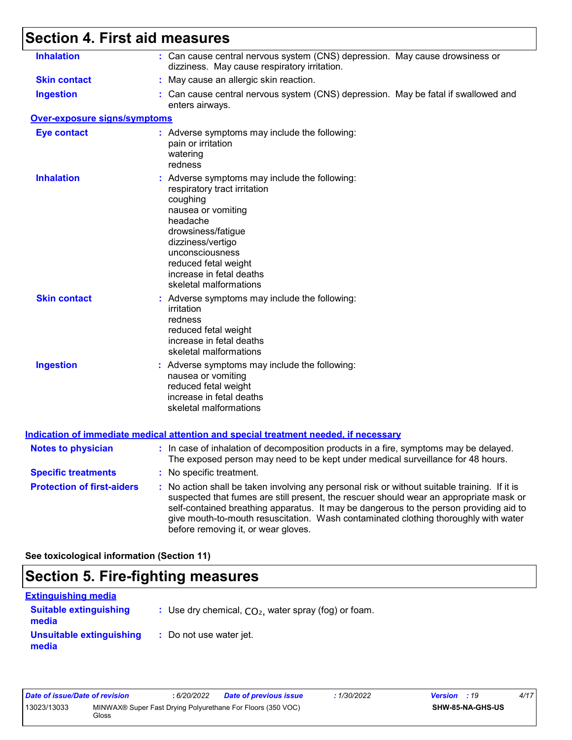# **Section 4. First aid measures**

| <b>Inhalation</b>                   | : Can cause central nervous system (CNS) depression. May cause drowsiness or<br>dizziness. May cause respiratory irritation.                                                                                                                                                                                                                                                                                    |
|-------------------------------------|-----------------------------------------------------------------------------------------------------------------------------------------------------------------------------------------------------------------------------------------------------------------------------------------------------------------------------------------------------------------------------------------------------------------|
| <b>Skin contact</b>                 | : May cause an allergic skin reaction.                                                                                                                                                                                                                                                                                                                                                                          |
| <b>Ingestion</b>                    | : Can cause central nervous system (CNS) depression. May be fatal if swallowed and<br>enters airways.                                                                                                                                                                                                                                                                                                           |
| <b>Over-exposure signs/symptoms</b> |                                                                                                                                                                                                                                                                                                                                                                                                                 |
| <b>Eye contact</b>                  | : Adverse symptoms may include the following:<br>pain or irritation<br>watering<br>redness                                                                                                                                                                                                                                                                                                                      |
| <b>Inhalation</b>                   | : Adverse symptoms may include the following:<br>respiratory tract irritation<br>coughing<br>nausea or vomiting<br>headache<br>drowsiness/fatigue<br>dizziness/vertigo<br>unconsciousness<br>reduced fetal weight<br>increase in fetal deaths<br>skeletal malformations                                                                                                                                         |
| <b>Skin contact</b>                 | : Adverse symptoms may include the following:<br>irritation<br>redness<br>reduced fetal weight<br>increase in fetal deaths<br>skeletal malformations                                                                                                                                                                                                                                                            |
| <b>Ingestion</b>                    | : Adverse symptoms may include the following:<br>nausea or vomiting<br>reduced fetal weight<br>increase in fetal deaths<br>skeletal malformations                                                                                                                                                                                                                                                               |
|                                     | <b>Indication of immediate medical attention and special treatment needed, if necessary</b>                                                                                                                                                                                                                                                                                                                     |
| <b>Notes to physician</b>           | : In case of inhalation of decomposition products in a fire, symptoms may be delayed.<br>The exposed person may need to be kept under medical surveillance for 48 hours.                                                                                                                                                                                                                                        |
| <b>Specific treatments</b>          | : No specific treatment.                                                                                                                                                                                                                                                                                                                                                                                        |
| <b>Protection of first-aiders</b>   | : No action shall be taken involving any personal risk or without suitable training. If it is<br>suspected that fumes are still present, the rescuer should wear an appropriate mask or<br>self-contained breathing apparatus. It may be dangerous to the person providing aid to<br>give mouth-to-mouth resuscitation. Wash contaminated clothing thoroughly with water<br>before removing it, or wear gloves. |
|                                     |                                                                                                                                                                                                                                                                                                                                                                                                                 |

**See toxicological information (Section 11)**

# **Section 5. Fire-fighting measures**

| <b>Extinguishing media</b>             |                                                        |
|----------------------------------------|--------------------------------------------------------|
| <b>Suitable extinguishing</b><br>media | : Use dry chemical, $CO2$ , water spray (fog) or foam. |
| Unsuitable extinguishing<br>media      | : Do not use water jet.                                |

| Date of issue/Date of revision |       | 6/20/2022 | Date of previous issue                                      | 1/30/2022 | <b>Version</b> : 19 |                         | 4/17 |
|--------------------------------|-------|-----------|-------------------------------------------------------------|-----------|---------------------|-------------------------|------|
| 13023/13033                    | Gloss |           | MINWAX® Super Fast Drying Polyurethane For Floors (350 VOC) |           |                     | <b>SHW-85-NA-GHS-US</b> |      |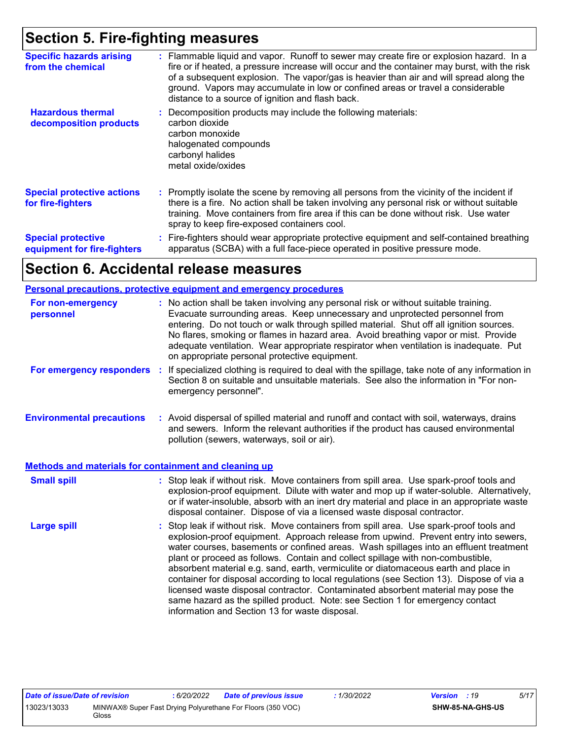### **Section 5. Fire-fighting measures**

| <b>Specific hazards arising</b><br>from the chemical     | : Flammable liquid and vapor. Runoff to sewer may create fire or explosion hazard. In a<br>fire or if heated, a pressure increase will occur and the container may burst, with the risk<br>of a subsequent explosion. The vapor/gas is heavier than air and will spread along the<br>ground. Vapors may accumulate in low or confined areas or travel a considerable<br>distance to a source of ignition and flash back. |
|----------------------------------------------------------|--------------------------------------------------------------------------------------------------------------------------------------------------------------------------------------------------------------------------------------------------------------------------------------------------------------------------------------------------------------------------------------------------------------------------|
| <b>Hazardous thermal</b><br>decomposition products       | Decomposition products may include the following materials:<br>carbon dioxide<br>carbon monoxide<br>halogenated compounds<br>carbonyl halides<br>metal oxide/oxides                                                                                                                                                                                                                                                      |
| <b>Special protective actions</b><br>for fire-fighters   | : Promptly isolate the scene by removing all persons from the vicinity of the incident if<br>there is a fire. No action shall be taken involving any personal risk or without suitable<br>training. Move containers from fire area if this can be done without risk. Use water<br>spray to keep fire-exposed containers cool.                                                                                            |
| <b>Special protective</b><br>equipment for fire-fighters | : Fire-fighters should wear appropriate protective equipment and self-contained breathing<br>apparatus (SCBA) with a full face-piece operated in positive pressure mode.                                                                                                                                                                                                                                                 |

### **Section 6. Accidental release measures**

#### **Personal precautions, protective equipment and emergency procedures**

| For non-emergency<br>personnel                               | : No action shall be taken involving any personal risk or without suitable training.<br>Evacuate surrounding areas. Keep unnecessary and unprotected personnel from<br>entering. Do not touch or walk through spilled material. Shut off all ignition sources.<br>No flares, smoking or flames in hazard area. Avoid breathing vapor or mist. Provide<br>adequate ventilation. Wear appropriate respirator when ventilation is inadequate. Put<br>on appropriate personal protective equipment.                                                                                                                                                                                                                                                                      |
|--------------------------------------------------------------|----------------------------------------------------------------------------------------------------------------------------------------------------------------------------------------------------------------------------------------------------------------------------------------------------------------------------------------------------------------------------------------------------------------------------------------------------------------------------------------------------------------------------------------------------------------------------------------------------------------------------------------------------------------------------------------------------------------------------------------------------------------------|
| For emergency responders                                     | If specialized clothing is required to deal with the spillage, take note of any information in<br>÷.<br>Section 8 on suitable and unsuitable materials. See also the information in "For non-<br>emergency personnel".                                                                                                                                                                                                                                                                                                                                                                                                                                                                                                                                               |
| <b>Environmental precautions</b>                             | : Avoid dispersal of spilled material and runoff and contact with soil, waterways, drains<br>and sewers. Inform the relevant authorities if the product has caused environmental<br>pollution (sewers, waterways, soil or air).                                                                                                                                                                                                                                                                                                                                                                                                                                                                                                                                      |
| <b>Methods and materials for containment and cleaning up</b> |                                                                                                                                                                                                                                                                                                                                                                                                                                                                                                                                                                                                                                                                                                                                                                      |
| <b>Small spill</b>                                           | : Stop leak if without risk. Move containers from spill area. Use spark-proof tools and<br>explosion-proof equipment. Dilute with water and mop up if water-soluble. Alternatively,<br>or if water-insoluble, absorb with an inert dry material and place in an appropriate waste<br>disposal container. Dispose of via a licensed waste disposal contractor.                                                                                                                                                                                                                                                                                                                                                                                                        |
| <b>Large spill</b>                                           | : Stop leak if without risk. Move containers from spill area. Use spark-proof tools and<br>explosion-proof equipment. Approach release from upwind. Prevent entry into sewers,<br>water courses, basements or confined areas. Wash spillages into an effluent treatment<br>plant or proceed as follows. Contain and collect spillage with non-combustible,<br>absorbent material e.g. sand, earth, vermiculite or diatomaceous earth and place in<br>container for disposal according to local regulations (see Section 13). Dispose of via a<br>licensed waste disposal contractor. Contaminated absorbent material may pose the<br>same hazard as the spilled product. Note: see Section 1 for emergency contact<br>information and Section 13 for waste disposal. |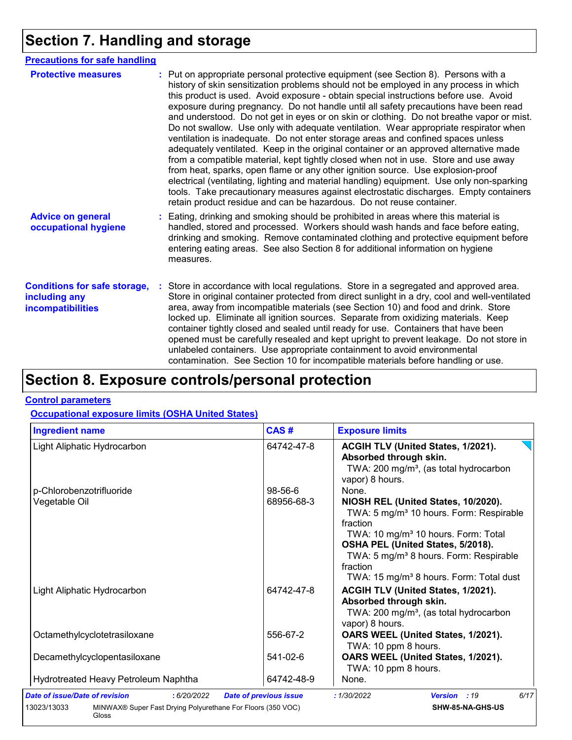# **Section 7. Handling and storage**

| <b>Precautions for safe handling</b>                                      |                                                                                                                                                                                                                                                                                                                                                                                                                                                                                                                                                                                                                                                                                                                                                                                                                                                                                                                                                                                                                                                                                                                                                                      |
|---------------------------------------------------------------------------|----------------------------------------------------------------------------------------------------------------------------------------------------------------------------------------------------------------------------------------------------------------------------------------------------------------------------------------------------------------------------------------------------------------------------------------------------------------------------------------------------------------------------------------------------------------------------------------------------------------------------------------------------------------------------------------------------------------------------------------------------------------------------------------------------------------------------------------------------------------------------------------------------------------------------------------------------------------------------------------------------------------------------------------------------------------------------------------------------------------------------------------------------------------------|
| <b>Protective measures</b>                                                | : Put on appropriate personal protective equipment (see Section 8). Persons with a<br>history of skin sensitization problems should not be employed in any process in which<br>this product is used. Avoid exposure - obtain special instructions before use. Avoid<br>exposure during pregnancy. Do not handle until all safety precautions have been read<br>and understood. Do not get in eyes or on skin or clothing. Do not breathe vapor or mist.<br>Do not swallow. Use only with adequate ventilation. Wear appropriate respirator when<br>ventilation is inadequate. Do not enter storage areas and confined spaces unless<br>adequately ventilated. Keep in the original container or an approved alternative made<br>from a compatible material, kept tightly closed when not in use. Store and use away<br>from heat, sparks, open flame or any other ignition source. Use explosion-proof<br>electrical (ventilating, lighting and material handling) equipment. Use only non-sparking<br>tools. Take precautionary measures against electrostatic discharges. Empty containers<br>retain product residue and can be hazardous. Do not reuse container. |
| <b>Advice on general</b><br>occupational hygiene                          | Eating, drinking and smoking should be prohibited in areas where this material is<br>handled, stored and processed. Workers should wash hands and face before eating,<br>drinking and smoking. Remove contaminated clothing and protective equipment before<br>entering eating areas. See also Section 8 for additional information on hygiene<br>measures.                                                                                                                                                                                                                                                                                                                                                                                                                                                                                                                                                                                                                                                                                                                                                                                                          |
| <b>Conditions for safe storage,</b><br>including any<br>incompatibilities | Store in accordance with local regulations. Store in a segregated and approved area.<br>Store in original container protected from direct sunlight in a dry, cool and well-ventilated<br>area, away from incompatible materials (see Section 10) and food and drink. Store<br>locked up. Eliminate all ignition sources. Separate from oxidizing materials. Keep<br>container tightly closed and sealed until ready for use. Containers that have been<br>opened must be carefully resealed and kept upright to prevent leakage. Do not store in<br>unlabeled containers. Use appropriate containment to avoid environmental<br>contamination. See Section 10 for incompatible materials before handling or use.                                                                                                                                                                                                                                                                                                                                                                                                                                                     |

# **Section 8. Exposure controls/personal protection**

#### **Control parameters**

#### **Occupational exposure limits (OSHA United States)**

| <b>Ingredient name</b>                                                              | CAS#                          | <b>Exposure limits</b>                                                                                                                                                                                                                                                                                                  |  |  |
|-------------------------------------------------------------------------------------|-------------------------------|-------------------------------------------------------------------------------------------------------------------------------------------------------------------------------------------------------------------------------------------------------------------------------------------------------------------------|--|--|
| Light Aliphatic Hydrocarbon                                                         | 64742-47-8                    | ACGIH TLV (United States, 1/2021).<br>Absorbed through skin.<br>TWA: 200 mg/m <sup>3</sup> , (as total hydrocarbon<br>vapor) 8 hours.                                                                                                                                                                                   |  |  |
| p-Chlorobenzotrifluoride                                                            | 98-56-6                       | None.                                                                                                                                                                                                                                                                                                                   |  |  |
| Vegetable Oil                                                                       | 68956-68-3                    | NIOSH REL (United States, 10/2020).<br>TWA: 5 mg/m <sup>3</sup> 10 hours. Form: Respirable<br>fraction<br>TWA: 10 mg/m <sup>3</sup> 10 hours. Form: Total<br>OSHA PEL (United States, 5/2018).<br>TWA: 5 mg/m <sup>3</sup> 8 hours. Form: Respirable<br>fraction<br>TWA: 15 mg/m <sup>3</sup> 8 hours. Form: Total dust |  |  |
| Light Aliphatic Hydrocarbon                                                         | 64742-47-8                    | ACGIH TLV (United States, 1/2021).<br>Absorbed through skin.<br>TWA: 200 mg/m <sup>3</sup> , (as total hydrocarbon<br>vapor) 8 hours.                                                                                                                                                                                   |  |  |
| Octamethylcyclotetrasiloxane                                                        | 556-67-2                      | OARS WEEL (United States, 1/2021).<br>TWA: 10 ppm 8 hours.                                                                                                                                                                                                                                                              |  |  |
| Decamethylcyclopentasiloxane                                                        | 541-02-6                      | OARS WEEL (United States, 1/2021).<br>TWA: 10 ppm 8 hours.                                                                                                                                                                                                                                                              |  |  |
| Hydrotreated Heavy Petroleum Naphtha                                                | 64742-48-9                    | None.                                                                                                                                                                                                                                                                                                                   |  |  |
| Date of issue/Date of revision<br>: 6/20/2022                                       | <b>Date of previous issue</b> | 6/17<br>: 1/30/2022<br>Version : 19                                                                                                                                                                                                                                                                                     |  |  |
| MINWAX® Super Fast Drying Polyurethane For Floors (350 VOC)<br>13023/13033<br>Gloss |                               | SHW-85-NA-GHS-US                                                                                                                                                                                                                                                                                                        |  |  |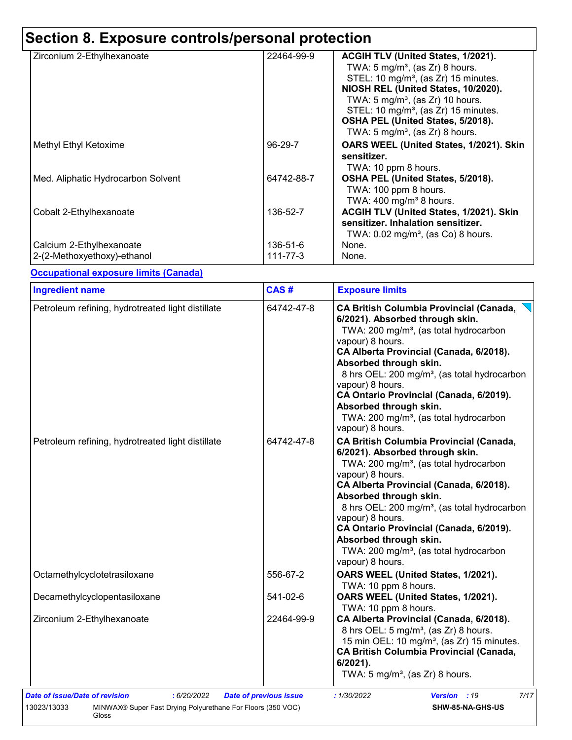# **Section 8. Exposure controls/personal protection**

| Zirconium 2-Ethylhexanoate                              | 22464-99-9           | ACGIH TLV (United States, 1/2021).<br>TWA: $5 \text{ mg/m}^3$ , (as Zr) 8 hours.<br>STEL: 10 mg/m <sup>3</sup> , (as Zr) 15 minutes.<br>NIOSH REL (United States, 10/2020).<br>TWA: $5 \text{ mg/m}^3$ , (as Zr) 10 hours.<br>STEL: 10 mg/m <sup>3</sup> , (as Zr) 15 minutes.<br>OSHA PEL (United States, 5/2018).<br>TWA: $5 \text{ mg/m}^3$ , (as Zr) 8 hours. |
|---------------------------------------------------------|----------------------|-------------------------------------------------------------------------------------------------------------------------------------------------------------------------------------------------------------------------------------------------------------------------------------------------------------------------------------------------------------------|
| Methyl Ethyl Ketoxime                                   | 96-29-7              | OARS WEEL (United States, 1/2021). Skin<br>sensitizer.<br>TWA: 10 ppm 8 hours.                                                                                                                                                                                                                                                                                    |
| Med. Aliphatic Hydrocarbon Solvent                      | 64742-88-7           | OSHA PEL (United States, 5/2018).<br>TWA: 100 ppm 8 hours.<br>TWA: $400 \text{ mg/m}^3$ 8 hours.                                                                                                                                                                                                                                                                  |
| Cobalt 2-Ethylhexanoate                                 | 136-52-7             | ACGIH TLV (United States, 1/2021). Skin<br>sensitizer. Inhalation sensitizer.<br>TWA: $0.02$ mg/m <sup>3</sup> , (as Co) 8 hours.                                                                                                                                                                                                                                 |
| Calcium 2-Ethylhexanoate<br>2-(2-Methoxyethoxy)-ethanol | 136-51-6<br>111-77-3 | None.<br>None.                                                                                                                                                                                                                                                                                                                                                    |

#### **Occupational exposure limits (Canada)**

| <b>Ingredient name</b>                            | CAS#       | <b>Exposure limits</b>                                                                                                                                                                                                                                                                                                                                                                                                                                          |  |
|---------------------------------------------------|------------|-----------------------------------------------------------------------------------------------------------------------------------------------------------------------------------------------------------------------------------------------------------------------------------------------------------------------------------------------------------------------------------------------------------------------------------------------------------------|--|
| Petroleum refining, hydrotreated light distillate | 64742-47-8 | <b>CA British Columbia Provincial (Canada,</b><br>6/2021). Absorbed through skin.<br>TWA: 200 mg/m <sup>3</sup> , (as total hydrocarbon<br>vapour) 8 hours.<br>CA Alberta Provincial (Canada, 6/2018).<br>Absorbed through skin.<br>8 hrs OEL: 200 mg/m <sup>3</sup> , (as total hydrocarbon<br>vapour) 8 hours.<br>CA Ontario Provincial (Canada, 6/2019).<br>Absorbed through skin.<br>TWA: 200 mg/m <sup>3</sup> , (as total hydrocarbon<br>vapour) 8 hours. |  |
| Petroleum refining, hydrotreated light distillate | 64742-47-8 | <b>CA British Columbia Provincial (Canada,</b><br>6/2021). Absorbed through skin.<br>TWA: 200 mg/m <sup>3</sup> , (as total hydrocarbon<br>vapour) 8 hours.<br>CA Alberta Provincial (Canada, 6/2018).<br>Absorbed through skin.<br>8 hrs OEL: 200 mg/m <sup>3</sup> , (as total hydrocarbon<br>vapour) 8 hours.<br>CA Ontario Provincial (Canada, 6/2019).<br>Absorbed through skin.<br>TWA: 200 mg/m <sup>3</sup> , (as total hydrocarbon<br>vapour) 8 hours. |  |
| Octamethylcyclotetrasiloxane                      | 556-67-2   | OARS WEEL (United States, 1/2021).<br>TWA: 10 ppm 8 hours.                                                                                                                                                                                                                                                                                                                                                                                                      |  |
| Decamethylcyclopentasiloxane                      | 541-02-6   | OARS WEEL (United States, 1/2021).<br>TWA: 10 ppm 8 hours.                                                                                                                                                                                                                                                                                                                                                                                                      |  |
| Zirconium 2-Ethylhexanoate                        | 22464-99-9 | CA Alberta Provincial (Canada, 6/2018).<br>8 hrs OEL: 5 mg/m <sup>3</sup> , (as Zr) 8 hours.<br>15 min OEL: 10 mg/m <sup>3</sup> , (as Zr) 15 minutes.<br><b>CA British Columbia Provincial (Canada,</b><br>$6/2021$ ).<br>TWA: $5 \text{ mg/m}^3$ , (as Zr) 8 hours.                                                                                                                                                                                           |  |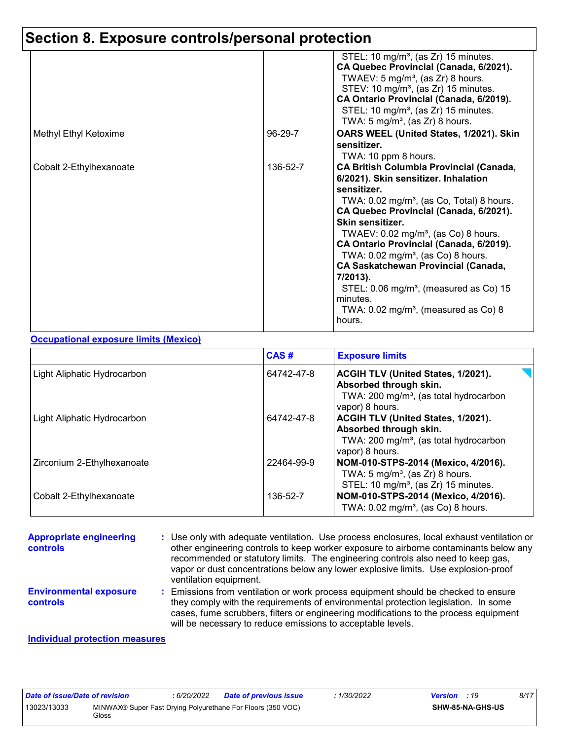# **Section 8. Exposure controls/personal protection**

|                         |          | STEL: 10 mg/m <sup>3</sup> , (as Zr) 15 minutes.<br>CA Quebec Provincial (Canada, 6/2021).<br>TWAEV: $5 \text{ mg/m}^3$ , (as Zr) 8 hours.<br>STEV: 10 mg/m <sup>3</sup> , (as Zr) 15 minutes.<br>CA Ontario Provincial (Canada, 6/2019).<br>STEL: 10 mg/m <sup>3</sup> , (as Zr) 15 minutes.<br>TWA: $5 \text{ mg/m}^3$ , (as Zr) 8 hours.                                                                                                                                                                                                                              |
|-------------------------|----------|--------------------------------------------------------------------------------------------------------------------------------------------------------------------------------------------------------------------------------------------------------------------------------------------------------------------------------------------------------------------------------------------------------------------------------------------------------------------------------------------------------------------------------------------------------------------------|
| Methyl Ethyl Ketoxime   | 96-29-7  | OARS WEEL (United States, 1/2021). Skin<br>sensitizer.<br>TWA: 10 ppm 8 hours.                                                                                                                                                                                                                                                                                                                                                                                                                                                                                           |
| Cobalt 2-Ethylhexanoate | 136-52-7 | <b>CA British Columbia Provincial (Canada,</b><br>6/2021). Skin sensitizer. Inhalation<br>sensitizer.<br>TWA: $0.02 \text{ mg/m}^3$ , (as Co, Total) 8 hours.<br>CA Quebec Provincial (Canada, 6/2021).<br>Skin sensitizer.<br>TWAEV: $0.02$ mg/m <sup>3</sup> , (as Co) 8 hours.<br>CA Ontario Provincial (Canada, 6/2019).<br>TWA: $0.02$ mg/m <sup>3</sup> , (as Co) 8 hours.<br><b>CA Saskatchewan Provincial (Canada,</b><br>7/2013).<br>STEL: $0.06 \text{ mg/m}^3$ , (measured as Co) 15<br>minutes.<br>TWA: $0.02 \text{ mg/m}^3$ , (measured as Co) 8<br>hours. |

#### **Occupational exposure limits (Mexico)**

|                             | CAS#       | <b>Exposure limits</b>                                                                                                                       |
|-----------------------------|------------|----------------------------------------------------------------------------------------------------------------------------------------------|
| Light Aliphatic Hydrocarbon | 64742-47-8 | <b>ACGIH TLV (United States, 1/2021).</b><br>Absorbed through skin.<br>TWA: 200 mg/m <sup>3</sup> , (as total hydrocarbon<br>vapor) 8 hours. |
| Light Aliphatic Hydrocarbon | 64742-47-8 | ACGIH TLV (United States, 1/2021).<br>Absorbed through skin.<br>TWA: 200 mg/m <sup>3</sup> , (as total hydrocarbon<br>vapor) 8 hours.        |
| Zirconium 2-Ethylhexanoate  | 22464-99-9 | NOM-010-STPS-2014 (Mexico, 4/2016).<br>TWA: $5 \text{ mg/m}^3$ , (as Zr) 8 hours.<br>STEL: 10 mg/m <sup>3</sup> , (as Zr) 15 minutes.        |
| Cobalt 2-Ethylhexanoate     | 136-52-7   | NOM-010-STPS-2014 (Mexico, 4/2016).<br>TWA: 0.02 mg/m <sup>3</sup> , (as Co) 8 hours.                                                        |

| <b>Appropriate engineering</b><br>controls | : Use only with adequate ventilation. Use process enclosures, local exhaust ventilation or<br>other engineering controls to keep worker exposure to airborne contaminants below any<br>recommended or statutory limits. The engineering controls also need to keep gas,<br>vapor or dust concentrations below any lower explosive limits. Use explosion-proof<br>ventilation equipment. |
|--------------------------------------------|-----------------------------------------------------------------------------------------------------------------------------------------------------------------------------------------------------------------------------------------------------------------------------------------------------------------------------------------------------------------------------------------|
| <b>Environmental exposure</b><br>controls  | Emissions from ventilation or work process equipment should be checked to ensure<br>÷.<br>they comply with the requirements of environmental protection legislation. In some<br>cases, fume scrubbers, filters or engineering modifications to the process equipment<br>will be necessary to reduce emissions to acceptable levels.                                                     |
|                                            |                                                                                                                                                                                                                                                                                                                                                                                         |

#### **Individual protection measures**

| Date of issue/Date of revision |                                                                             | : 6/20/2022 | <b>Date of previous issue</b> | 1/30/2022 | <b>Version</b> : 19 | 8/17 |
|--------------------------------|-----------------------------------------------------------------------------|-------------|-------------------------------|-----------|---------------------|------|
| 13023/13033                    | MINWAX® Super Fast Drying Polyurethane For Floors (350 VOC)<br><b>Gloss</b> |             |                               |           | SHW-85-NA-GHS-US    |      |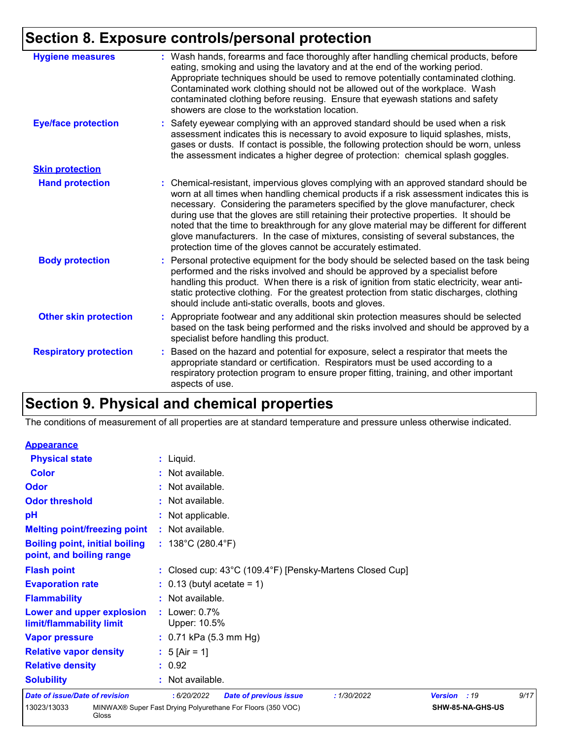# **Section 8. Exposure controls/personal protection**

| <b>Hygiene measures</b>       | : Wash hands, forearms and face thoroughly after handling chemical products, before<br>eating, smoking and using the lavatory and at the end of the working period.<br>Appropriate techniques should be used to remove potentially contaminated clothing.<br>Contaminated work clothing should not be allowed out of the workplace. Wash<br>contaminated clothing before reusing. Ensure that eyewash stations and safety<br>showers are close to the workstation location.                                                                                                                                            |
|-------------------------------|------------------------------------------------------------------------------------------------------------------------------------------------------------------------------------------------------------------------------------------------------------------------------------------------------------------------------------------------------------------------------------------------------------------------------------------------------------------------------------------------------------------------------------------------------------------------------------------------------------------------|
| <b>Eye/face protection</b>    | : Safety eyewear complying with an approved standard should be used when a risk<br>assessment indicates this is necessary to avoid exposure to liquid splashes, mists,<br>gases or dusts. If contact is possible, the following protection should be worn, unless<br>the assessment indicates a higher degree of protection: chemical splash goggles.                                                                                                                                                                                                                                                                  |
| <b>Skin protection</b>        |                                                                                                                                                                                                                                                                                                                                                                                                                                                                                                                                                                                                                        |
| <b>Hand protection</b>        | : Chemical-resistant, impervious gloves complying with an approved standard should be<br>worn at all times when handling chemical products if a risk assessment indicates this is<br>necessary. Considering the parameters specified by the glove manufacturer, check<br>during use that the gloves are still retaining their protective properties. It should be<br>noted that the time to breakthrough for any glove material may be different for different<br>glove manufacturers. In the case of mixtures, consisting of several substances, the<br>protection time of the gloves cannot be accurately estimated. |
| <b>Body protection</b>        | : Personal protective equipment for the body should be selected based on the task being<br>performed and the risks involved and should be approved by a specialist before<br>handling this product. When there is a risk of ignition from static electricity, wear anti-<br>static protective clothing. For the greatest protection from static discharges, clothing<br>should include anti-static overalls, boots and gloves.                                                                                                                                                                                         |
| <b>Other skin protection</b>  | : Appropriate footwear and any additional skin protection measures should be selected<br>based on the task being performed and the risks involved and should be approved by a<br>specialist before handling this product.                                                                                                                                                                                                                                                                                                                                                                                              |
| <b>Respiratory protection</b> | : Based on the hazard and potential for exposure, select a respirator that meets the<br>appropriate standard or certification. Respirators must be used according to a<br>respiratory protection program to ensure proper fitting, training, and other important<br>aspects of use.                                                                                                                                                                                                                                                                                                                                    |

# **Section 9. Physical and chemical properties**

The conditions of measurement of all properties are at standard temperature and pressure unless otherwise indicated.

| <b>Appearance</b>                                                 |                                                                                    |  |  |  |
|-------------------------------------------------------------------|------------------------------------------------------------------------------------|--|--|--|
| <b>Physical state</b>                                             | $:$ Liquid.                                                                        |  |  |  |
| <b>Color</b>                                                      | : Not available.                                                                   |  |  |  |
| Odor                                                              | : Not available.                                                                   |  |  |  |
| <b>Odor threshold</b>                                             | : Not available.                                                                   |  |  |  |
| pH                                                                | : Not applicable.                                                                  |  |  |  |
| <b>Melting point/freezing point</b>                               | : Not available.                                                                   |  |  |  |
| <b>Boiling point, initial boiling</b><br>point, and boiling range | : $138^{\circ}$ C (280.4 $^{\circ}$ F)                                             |  |  |  |
| <b>Flash point</b>                                                | : Closed cup: 43°C (109.4°F) [Pensky-Martens Closed Cup]                           |  |  |  |
| <b>Evaporation rate</b>                                           | $: 0.13$ (butyl acetate = 1)                                                       |  |  |  |
| <b>Flammability</b>                                               | : Not available.                                                                   |  |  |  |
| Lower and upper explosion<br>limit/flammability limit             | $:$ Lower: $0.7\%$<br>Upper: 10.5%                                                 |  |  |  |
| <b>Vapor pressure</b>                                             | : $0.71$ kPa (5.3 mm Hg)                                                           |  |  |  |
| <b>Relative vapor density</b>                                     | : $5 \text{ [Air = 1]}$                                                            |  |  |  |
| <b>Relative density</b>                                           | : 0.92                                                                             |  |  |  |
| <b>Solubility</b>                                                 | : Not available.                                                                   |  |  |  |
| <b>Date of issue/Date of revision</b>                             | 9/17<br>: 6/20/2022<br>Version : 19<br><b>Date of previous issue</b><br>:1/30/2022 |  |  |  |
| 13023/13033<br>Gloss                                              | MINWAX® Super Fast Drying Polyurethane For Floors (350 VOC)<br>SHW-85-NA-GHS-US    |  |  |  |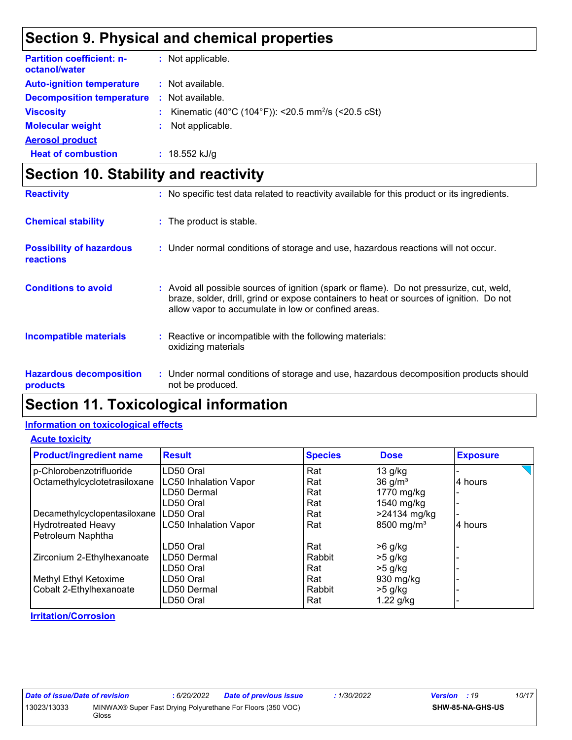## **Section 9. Physical and chemical properties**

| <b>Partition coefficient: n-</b><br>octanol/water | : Not applicable.                                                |
|---------------------------------------------------|------------------------------------------------------------------|
| <b>Auto-ignition temperature</b>                  | : Not available.                                                 |
| <b>Decomposition temperature</b>                  | $\therefore$ Not available.                                      |
| <b>Viscosity</b>                                  | : Kinematic (40°C (104°F)): <20.5 mm <sup>2</sup> /s (<20.5 cSt) |
| <b>Molecular weight</b>                           | : Not applicable.                                                |
| <b>Aerosol product</b>                            |                                                                  |
| <b>Heat of combustion</b>                         | : $18.552$ kJ/g                                                  |

# **Section 10. Stability and reactivity**

| <b>Reactivity</b>                            | : No specific test data related to reactivity available for this product or its ingredients.                                                                                                                                               |
|----------------------------------------------|--------------------------------------------------------------------------------------------------------------------------------------------------------------------------------------------------------------------------------------------|
| <b>Chemical stability</b>                    | : The product is stable.                                                                                                                                                                                                                   |
| <b>Possibility of hazardous</b><br>reactions | : Under normal conditions of storage and use, hazardous reactions will not occur.                                                                                                                                                          |
| <b>Conditions to avoid</b>                   | : Avoid all possible sources of ignition (spark or flame). Do not pressurize, cut, weld,<br>braze, solder, drill, grind or expose containers to heat or sources of ignition. Do not<br>allow vapor to accumulate in low or confined areas. |
| <b>Incompatible materials</b>                | Reactive or incompatible with the following materials:<br>oxidizing materials                                                                                                                                                              |
| <b>Hazardous decomposition</b><br>products   | : Under normal conditions of storage and use, hazardous decomposition products should<br>not be produced.                                                                                                                                  |

# **Section 11. Toxicological information**

#### **Information on toxicological effects**

#### **Acute toxicity**

| <b>Product/ingredient name</b> | <b>Result</b>                | <b>Species</b> | <b>Dose</b>            | <b>Exposure</b> |
|--------------------------------|------------------------------|----------------|------------------------|-----------------|
| p-Chlorobenzotrifluoride       | LD50 Oral                    | Rat            | $13$ g/kg              |                 |
| Octamethylcyclotetrasiloxane   | LC50 Inhalation Vapor        | Rat            | $36$ g/m <sup>3</sup>  | 4 hours         |
|                                | LD50 Dermal                  | Rat            | 1770 mg/kg             |                 |
|                                | LD50 Oral                    | Rat            | 1540 mg/kg             |                 |
| Decamethylcyclopentasiloxane   | LD50 Oral                    | Rat            | >24134 mg/kg           |                 |
| <b>Hydrotreated Heavy</b>      | <b>LC50 Inhalation Vapor</b> | Rat            | 8500 mg/m <sup>3</sup> | 4 hours         |
| Petroleum Naphtha              |                              |                |                        |                 |
|                                | LD50 Oral                    | Rat            | $>6$ g/kg              |                 |
| Zirconium 2-Ethylhexanoate     | LD50 Dermal                  | Rabbit         | $>5$ g/kg              |                 |
|                                | LD50 Oral                    | Rat            | $>5$ g/kg              |                 |
| Methyl Ethyl Ketoxime          | LD50 Oral                    | Rat            | 930 mg/kg              |                 |
| Cobalt 2-Ethylhexanoate        | LD50 Dermal                  | Rabbit         | $>5$ g/kg              |                 |
|                                | LD50 Oral                    | Rat            | $1.22$ g/kg            |                 |

#### **Irritation/Corrosion**

| Date of issue/Date of revision |       | : 6/20/2022 | <b>Date of previous issue</b>                               | : 1/30/2022 | <b>Version</b> : 19     | 10/17 |
|--------------------------------|-------|-------------|-------------------------------------------------------------|-------------|-------------------------|-------|
| 13023/13033                    | Gloss |             | MINWAX® Super Fast Drying Polyurethane For Floors (350 VOC) |             | <b>SHW-85-NA-GHS-US</b> |       |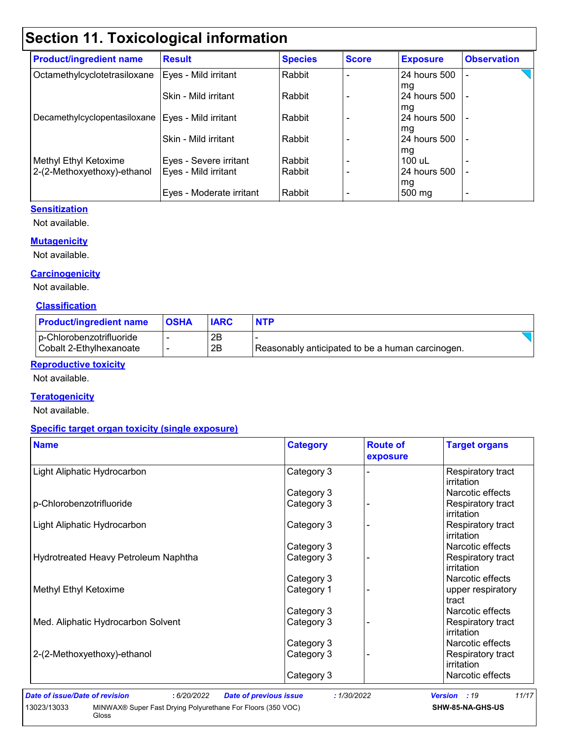# **Section 11. Toxicological information**

| <b>Product/ingredient name</b>                      | <b>Result</b>            | <b>Species</b> | <b>Score</b> | <b>Exposure</b>          | <b>Observation</b> |
|-----------------------------------------------------|--------------------------|----------------|--------------|--------------------------|--------------------|
| Octamethylcyclotetrasiloxane                        | Eyes - Mild irritant     | Rabbit         |              | 24 hours 500             |                    |
|                                                     | Skin - Mild irritant     | Rabbit         |              | mg<br>24 hours 500<br>mg |                    |
| Decamethylcyclopentasiloxane   Eyes - Mild irritant |                          | Rabbit         |              | 24 hours 500             |                    |
|                                                     | Skin - Mild irritant     | Rabbit         |              | mg<br>24 hours 500       |                    |
| Methyl Ethyl Ketoxime                               | Eyes - Severe irritant   | Rabbit         |              | mg<br>100 uL             |                    |
| 2-(2-Methoxyethoxy)-ethanol                         | Eyes - Mild irritant     | Rabbit         |              | 24 hours 500             |                    |
|                                                     | Eyes - Moderate irritant | Rabbit         |              | mg<br>$500 \text{ mg}$   |                    |

#### **Sensitization**

Not available.

#### **Mutagenicity**

Not available.

#### **Carcinogenicity**

Not available.

#### **Classification**

| <b>Product/ingredient name</b>                      | <b>OSHA</b> | <b>IARC</b> | <b>NTP</b>                                       |  |
|-----------------------------------------------------|-------------|-------------|--------------------------------------------------|--|
| p-Chlorobenzotrifluoride<br>Cobalt 2-Ethylhexanoate |             | 2B<br>2Β    | Reasonably anticipated to be a human carcinogen. |  |

#### **Reproductive toxicity**

Not available.

#### **Teratogenicity**

Not available.

#### **Specific target organ toxicity (single exposure)**

| <b>Name</b>                          | <b>Category</b> | <b>Route of</b><br>exposure | <b>Target organs</b>            |
|--------------------------------------|-----------------|-----------------------------|---------------------------------|
| Light Aliphatic Hydrocarbon          | Category 3      |                             | Respiratory tract<br>irritation |
|                                      | Category 3      |                             | Narcotic effects                |
| p-Chlorobenzotrifluoride             | Category 3      |                             | Respiratory tract<br>irritation |
| Light Aliphatic Hydrocarbon          | Category 3      |                             | Respiratory tract<br>irritation |
|                                      | Category 3      |                             | Narcotic effects                |
| Hydrotreated Heavy Petroleum Naphtha | Category 3      |                             | Respiratory tract<br>irritation |
|                                      | Category 3      |                             | Narcotic effects                |
| Methyl Ethyl Ketoxime                | Category 1      |                             | upper respiratory<br>tract      |
|                                      | Category 3      |                             | Narcotic effects                |
| Med. Aliphatic Hydrocarbon Solvent   | Category 3      |                             | Respiratory tract<br>irritation |
|                                      | Category 3      |                             | Narcotic effects                |
| 2-(2-Methoxyethoxy)-ethanol          | Category 3      |                             | Respiratory tract<br>irritation |
|                                      | Category 3      |                             | Narcotic effects                |

*Date of issue/Date of revision* **:** *6/20/2022 Date of previous issue : 1/30/2022 Version : 19 11/17* 13023/13033 MINWAX® Super Fast Drying Polyurethane For Floors (350 VOC) Gloss **SHW-85-NA-GHS-US**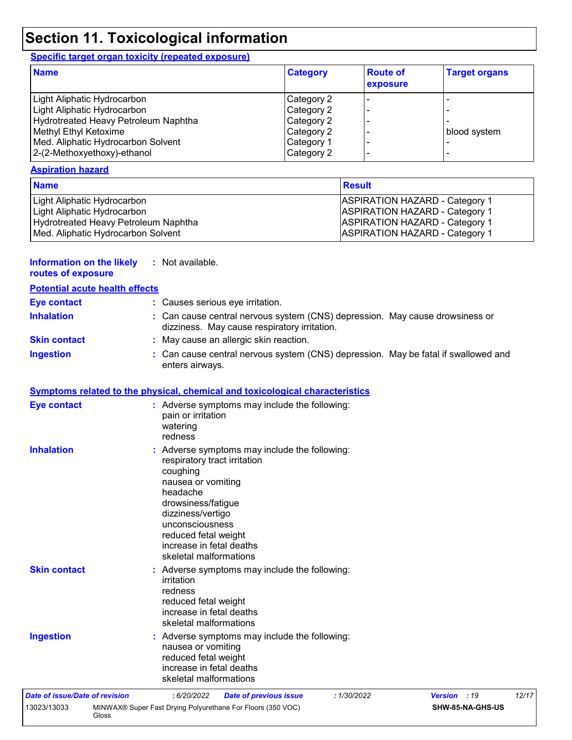# **Section 11. Toxicological information**

#### **Specific target organ toxicity (repeated exposure)**

| <b>Name</b>                          | <b>Category</b> | <b>Route of</b><br>exposure | <b>Target organs</b> |
|--------------------------------------|-----------------|-----------------------------|----------------------|
| Light Aliphatic Hydrocarbon          | Category 2      |                             |                      |
| Light Aliphatic Hydrocarbon          | Category 2      |                             |                      |
| Hydrotreated Heavy Petroleum Naphtha | Category 2      |                             |                      |
| Methyl Ethyl Ketoxime                | Category 2      |                             | blood system         |
| Med. Aliphatic Hydrocarbon Solvent   | Category 1      |                             |                      |
| 2-(2-Methoxyethoxy)-ethanol          | Category 2      |                             |                      |

#### **Aspiration hazard**

| <b>Name</b>                          | <b>Result</b>                         |
|--------------------------------------|---------------------------------------|
| Light Aliphatic Hydrocarbon          | <b>ASPIRATION HAZARD - Category 1</b> |
| Light Aliphatic Hydrocarbon          | <b>ASPIRATION HAZARD - Category 1</b> |
| Hydrotreated Heavy Petroleum Naphtha | <b>ASPIRATION HAZARD - Category 1</b> |
| Med. Aliphatic Hydrocarbon Solvent   | <b>ASPIRATION HAZARD - Category 1</b> |

#### **Information on the likely routes of exposure :** Not available.

| TOULOU OF UAPOUL                      |                                                                                                                                                                                                                                                                       |
|---------------------------------------|-----------------------------------------------------------------------------------------------------------------------------------------------------------------------------------------------------------------------------------------------------------------------|
| <b>Potential acute health effects</b> |                                                                                                                                                                                                                                                                       |
| <b>Eye contact</b>                    | : Causes serious eye irritation.                                                                                                                                                                                                                                      |
| <b>Inhalation</b>                     | Can cause central nervous system (CNS) depression. May cause drowsiness or<br>dizziness. May cause respiratory irritation.                                                                                                                                            |
| <b>Skin contact</b>                   | May cause an allergic skin reaction.                                                                                                                                                                                                                                  |
| <b>Ingestion</b>                      | Can cause central nervous system (CNS) depression. May be fatal if swallowed and<br>enters airways.                                                                                                                                                                   |
|                                       | <b>Symptoms related to the physical, chemical and toxicological characteristics</b>                                                                                                                                                                                   |
| <b>Eye contact</b>                    | : Adverse symptoms may include the following:<br>pain or irritation<br>watering<br>redness                                                                                                                                                                            |
| <b>Inhalation</b>                     | Adverse symptoms may include the following:<br>respiratory tract irritation<br>coughing<br>nausea or vomiting<br>headache<br>drowsiness/fatigue<br>dizziness/vertigo<br>unconsciousness<br>reduced fetal weight<br>increase in fetal deaths<br>skeletal malformations |
| <b>Skin contact</b>                   | Adverse symptoms may include the following:<br>irritation<br>redness<br>reduced fetal weight<br>increase in fetal deaths<br>skeletal malformations                                                                                                                    |
| <b>Ingestion</b>                      | Adverse symptoms may include the following:<br>nausea or vomiting<br>reduced fetal weight<br>increase in fetal deaths<br>skeletal malformations                                                                                                                       |
| <b>Date of issue/Date of revision</b> | : 6/20/2022<br><b>Date of previous issue</b><br>:1/30/2022<br>Version : 19<br>12/17                                                                                                                                                                                   |
| 13023/13033                           | MINWAX® Super Fast Drying Polyurethane For Floors (350 VOC)<br>SHW-85-NA-GHS-US<br>Gloss                                                                                                                                                                              |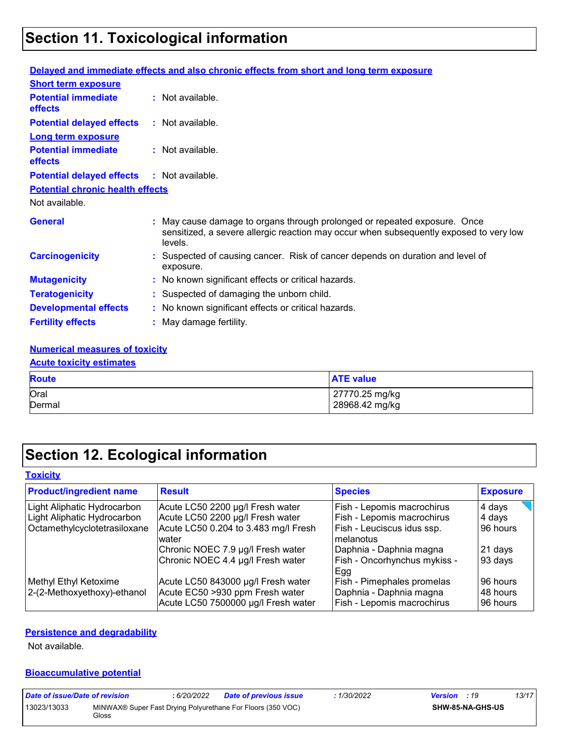# **Section 11. Toxicological information**

|                                                   | Delayed and immediate effects and also chronic effects from short and long term exposure                                                                                       |
|---------------------------------------------------|--------------------------------------------------------------------------------------------------------------------------------------------------------------------------------|
| <b>Short term exposure</b>                        |                                                                                                                                                                                |
| <b>Potential immediate</b><br>effects             | : Not available.                                                                                                                                                               |
| <b>Potential delayed effects</b>                  | : Not available.                                                                                                                                                               |
| <b>Long term exposure</b>                         |                                                                                                                                                                                |
| <b>Potential immediate</b><br><b>effects</b>      | $\therefore$ Not available.                                                                                                                                                    |
| <b>Potential delayed effects : Not available.</b> |                                                                                                                                                                                |
| <b>Potential chronic health effects</b>           |                                                                                                                                                                                |
| Not available.                                    |                                                                                                                                                                                |
| <b>General</b>                                    | : May cause damage to organs through prolonged or repeated exposure. Once<br>sensitized, a severe allergic reaction may occur when subsequently exposed to very low<br>levels. |
| <b>Carcinogenicity</b>                            | : Suspected of causing cancer. Risk of cancer depends on duration and level of<br>exposure.                                                                                    |
| <b>Mutagenicity</b>                               | : No known significant effects or critical hazards.                                                                                                                            |
| <b>Teratogenicity</b>                             | : Suspected of damaging the unborn child.                                                                                                                                      |
| <b>Developmental effects</b>                      | : No known significant effects or critical hazards.                                                                                                                            |
| <b>Fertility effects</b>                          | : May damage fertility.                                                                                                                                                        |

#### **Numerical measures of toxicity**

#### **Acute toxicity estimates**

| <b>Route</b> | <b>ATE value</b> |
|--------------|------------------|
| Oral         | 27770.25 mg/kg   |
| Dermal       | 28968.42 mg/kg   |

## **Section 12. Ecological information**

| <b>Toxicity</b>                |                                      |                                     |                 |
|--------------------------------|--------------------------------------|-------------------------------------|-----------------|
| <b>Product/ingredient name</b> | <b>Result</b>                        | <b>Species</b>                      | <b>Exposure</b> |
| Light Aliphatic Hydrocarbon    | Acute LC50 2200 µg/l Fresh water     | Fish - Lepomis macrochirus          | 4 days          |
| Light Aliphatic Hydrocarbon    | Acute LC50 2200 µg/l Fresh water     | Fish - Lepomis macrochirus          | 4 days          |
| Octamethylcyclotetrasiloxane   | Acute LC50 0.204 to 3.483 mg/l Fresh | Fish - Leuciscus idus ssp.          | 96 hours        |
|                                | water                                | melanotus                           |                 |
|                                | Chronic NOEC 7.9 µg/l Fresh water    | Daphnia - Daphnia magna             | 21 days         |
|                                | Chronic NOEC 4.4 µg/l Fresh water    | Fish - Oncorhynchus mykiss -<br>Egg | 93 days         |
| Methyl Ethyl Ketoxime          | Acute LC50 843000 µg/l Fresh water   | Fish - Pimephales promelas          | 96 hours        |
| 2-(2-Methoxyethoxy)-ethanol    | Acute EC50 >930 ppm Fresh water      | Daphnia - Daphnia magna             | 48 hours        |
|                                | Acute LC50 7500000 µg/l Fresh water  | Fish - Lepomis macrochirus          | 96 hours        |

#### **Persistence and degradability**

Not available.

#### **Bioaccumulative potential**

| Date of issue/Date of revision |       | 6/20/2022 | <b>Date of previous issue</b>                               | 1/30/2022 | <b>Version</b> : 19 |                         | 13/17 |
|--------------------------------|-------|-----------|-------------------------------------------------------------|-----------|---------------------|-------------------------|-------|
| 13023/13033                    | Gloss |           | MINWAX® Super Fast Drying Polyurethane For Floors (350 VOC) |           |                     | <b>SHW-85-NA-GHS-US</b> |       |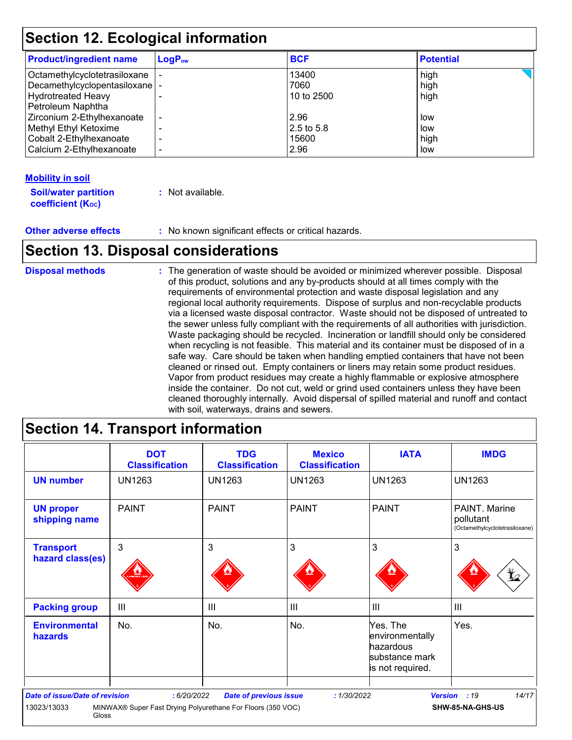## **Section 12. Ecological information**

| <b>Product/ingredient name</b>                                                                                                  | $LogP_{ow}$ | <b>BCF</b>                          | <b>Potential</b>          |
|---------------------------------------------------------------------------------------------------------------------------------|-------------|-------------------------------------|---------------------------|
| Octamethylcyclotetrasiloxane<br>Decamethylcyclopentasiloxane   -<br><b>Hydrotreated Heavy</b>                                   |             | 13400<br>7060<br>10 to 2500         | high<br>high<br>high      |
| Petroleum Naphtha<br>Zirconium 2-Ethylhexanoate<br>Methyl Ethyl Ketoxime<br>Cobalt 2-Ethylhexanoate<br>Calcium 2-Ethylhexanoate |             | 2.96<br>2.5 to 5.8<br>15600<br>2.96 | low<br>low<br>high<br>low |

#### **Mobility in soil**

| <b>Soil/water partition</b> | : Not available. |
|-----------------------------|------------------|
| <b>coefficient (Koc)</b>    |                  |

**Other adverse effects** : No known significant effects or critical hazards.

### **Section 13. Disposal considerations**

The generation of waste should be avoided or minimized wherever possible. Disposal of this product, solutions and any by-products should at all times comply with the requirements of environmental protection and waste disposal legislation and any regional local authority requirements. Dispose of surplus and non-recyclable products via a licensed waste disposal contractor. Waste should not be disposed of untreated to the sewer unless fully compliant with the requirements of all authorities with jurisdiction. Waste packaging should be recycled. Incineration or landfill should only be considered when recycling is not feasible. This material and its container must be disposed of in a safe way. Care should be taken when handling emptied containers that have not been cleaned or rinsed out. Empty containers or liners may retain some product residues. Vapor from product residues may create a highly flammable or explosive atmosphere inside the container. Do not cut, weld or grind used containers unless they have been cleaned thoroughly internally. Avoid dispersal of spilled material and runoff and contact with soil, waterways, drains and sewers. **Disposal methods :**

## **Section 14. Transport information**

|                                        | <b>DOT</b><br><b>Classification</b>                         | <b>TDG</b><br><b>Classification</b> | <b>Mexico</b><br><b>Classification</b> | <b>IATA</b>                                                                    | <b>IMDG</b>                                                                    |
|----------------------------------------|-------------------------------------------------------------|-------------------------------------|----------------------------------------|--------------------------------------------------------------------------------|--------------------------------------------------------------------------------|
| <b>UN number</b>                       | <b>UN1263</b>                                               | <b>UN1263</b>                       | <b>UN1263</b>                          | <b>UN1263</b>                                                                  | <b>UN1263</b>                                                                  |
| <b>UN proper</b><br>shipping name      | <b>PAINT</b>                                                | <b>PAINT</b>                        | <b>PAINT</b>                           | <b>PAINT</b>                                                                   | PAINT. Marine<br>pollutant<br>(Octamethylcyclotetrasiloxane)                   |
| <b>Transport</b><br>hazard class(es)   | 3                                                           | 3                                   | 3                                      | 3                                                                              | 3<br>$\mathbf{\mathbf{\mathbf{\mathbf{\mathbf{\mathbf{\mathbf{\mathbf{z}}}}}}$ |
| <b>Packing group</b>                   | III                                                         | III                                 | $\mathbf{III}$                         | $\mathbf{III}$                                                                 | III                                                                            |
| <b>Environmental</b><br><b>hazards</b> | No.                                                         | No.                                 | No.                                    | Yes. The<br>environmentally<br>hazardous<br>substance mark<br>is not required. | Yes.                                                                           |
| <b>Date of issue/Date of revision</b>  | : 6/20/2022                                                 | <b>Date of previous issue</b>       | : 1/30/2022                            | <b>Version</b>                                                                 | 14/17<br>:19                                                                   |
| 13023/13033<br>Gloss                   | MINWAX® Super Fast Drying Polyurethane For Floors (350 VOC) |                                     |                                        |                                                                                | SHW-85-NA-GHS-US                                                               |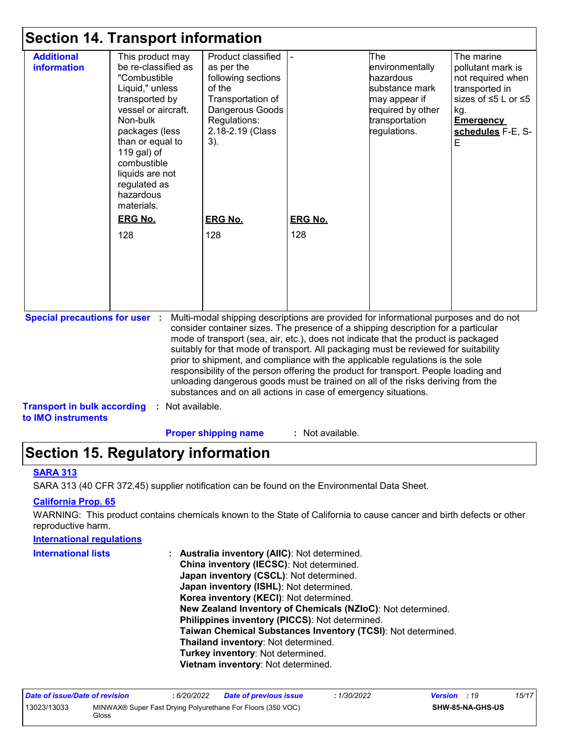### **Section 14. Transport information**

| This product may<br>be re-classified as<br>"Combustible<br>Liquid," unless<br>transported by<br>vessel or aircraft.<br>Non-bulk<br>packages (less<br>than or equal to<br>119 gal) of<br>combustible<br>liquids are not<br>regulated as<br>hazardous<br>materials.<br><b>ERG No.</b><br>128 | Product classified<br>as per the<br>following sections<br>of the<br>Transportation of<br>Dangerous Goods<br>Regulations:<br>2.18-2.19 (Class<br>$3)$ .<br><b>ERG No.</b><br>128 | <b>ERG No.</b><br>128                   | The<br>environmentally<br>hazardous<br>substance mark<br>may appear if<br>required by other<br>transportation<br>regulations. | The marine<br>pollutant mark is<br>not required when<br>transported in<br>sizes of ≤5 L or ≤5<br>kg.<br><b>Emergency</b><br>schedules F-E, S-<br>E                                                                                                                                                                                                                                                                                                                                                                                                                                                                                                                                  |
|--------------------------------------------------------------------------------------------------------------------------------------------------------------------------------------------------------------------------------------------------------------------------------------------|---------------------------------------------------------------------------------------------------------------------------------------------------------------------------------|-----------------------------------------|-------------------------------------------------------------------------------------------------------------------------------|-------------------------------------------------------------------------------------------------------------------------------------------------------------------------------------------------------------------------------------------------------------------------------------------------------------------------------------------------------------------------------------------------------------------------------------------------------------------------------------------------------------------------------------------------------------------------------------------------------------------------------------------------------------------------------------|
| <b>Special precautions for user :</b><br><b>Transport in bulk according</b>                                                                                                                                                                                                                |                                                                                                                                                                                 |                                         |                                                                                                                               |                                                                                                                                                                                                                                                                                                                                                                                                                                                                                                                                                                                                                                                                                     |
|                                                                                                                                                                                                                                                                                            |                                                                                                                                                                                 | <b>Jection IT. Hansport Information</b> | : Not available.                                                                                                              | Multi-modal shipping descriptions are provided for informational purposes and do not<br>consider container sizes. The presence of a shipping description for a particular<br>mode of transport (sea, air, etc.), does not indicate that the product is packaged<br>suitably for that mode of transport. All packaging must be reviewed for suitability<br>prior to shipment, and compliance with the applicable regulations is the sole<br>responsibility of the person offering the product for transport. People loading and<br>unloading dangerous goods must be trained on all of the risks deriving from the<br>substances and on all actions in case of emergency situations. |

**Proper shipping name :**

: Not available.

# **Section 15. Regulatory information**

#### **SARA 313**

SARA 313 (40 CFR 372.45) supplier notification can be found on the Environmental Data Sheet.

#### **California Prop. 65**

WARNING: This product contains chemicals known to the State of California to cause cancer and birth defects or other reproductive harm.

#### **Australia inventory (AIIC)**: Not determined. **China inventory (IECSC)**: Not determined. **Japan inventory (CSCL)**: Not determined. **Japan inventory (ISHL)**: Not determined. **Korea inventory (KECI)**: Not determined. **New Zealand Inventory of Chemicals (NZIoC)**: Not determined. **Philippines inventory (PICCS)**: Not determined. **Taiwan Chemical Substances Inventory (TCSI)**: Not determined. **Thailand inventory**: Not determined. **Turkey inventory**: Not determined. **Vietnam inventory**: Not determined. **International regulations International lists :**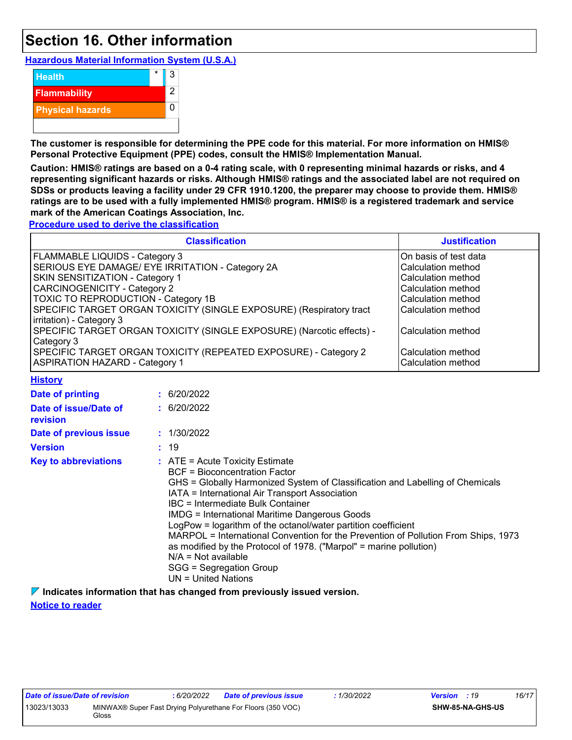### **Section 16. Other information**

**Hazardous Material Information System (U.S.A.)**



**The customer is responsible for determining the PPE code for this material. For more information on HMIS® Personal Protective Equipment (PPE) codes, consult the HMIS® Implementation Manual.**

**Caution: HMIS® ratings are based on a 0-4 rating scale, with 0 representing minimal hazards or risks, and 4 representing significant hazards or risks. Although HMIS® ratings and the associated label are not required on SDSs or products leaving a facility under 29 CFR 1910.1200, the preparer may choose to provide them. HMIS® ratings are to be used with a fully implemented HMIS® program. HMIS® is a registered trademark and service mark of the American Coatings Association, Inc.**

**Procedure used to derive the classification**

**History**

| <b>Classification</b>                                                 | <b>Justification</b>  |
|-----------------------------------------------------------------------|-----------------------|
| FLAMMABLE LIQUIDS - Category 3                                        | On basis of test data |
| SERIOUS EYE DAMAGE/ EYE IRRITATION - Category 2A                      | Calculation method    |
| SKIN SENSITIZATION - Category 1                                       | Calculation method    |
| CARCINOGENICITY - Category 2                                          | Calculation method    |
| <b>TOXIC TO REPRODUCTION - Category 1B</b>                            | Calculation method    |
| SPECIFIC TARGET ORGAN TOXICITY (SINGLE EXPOSURE) (Respiratory tract   | Calculation method    |
| irritation) - Category 3                                              |                       |
| SPECIFIC TARGET ORGAN TOXICITY (SINGLE EXPOSURE) (Narcotic effects) - | Calculation method    |
| Category 3                                                            |                       |
| SPECIFIC TARGET ORGAN TOXICITY (REPEATED EXPOSURE) - Category 2       | Calculation method    |
| <b>ASPIRATION HAZARD - Category 1</b>                                 | Calculation method    |

| <u>.  ,</u>                              |                                                                                                                                                                                                                                                                                                                                                                                                                                                                                                                                                                                                                            |
|------------------------------------------|----------------------------------------------------------------------------------------------------------------------------------------------------------------------------------------------------------------------------------------------------------------------------------------------------------------------------------------------------------------------------------------------------------------------------------------------------------------------------------------------------------------------------------------------------------------------------------------------------------------------------|
| <b>Date of printing</b>                  | : 6/20/2022                                                                                                                                                                                                                                                                                                                                                                                                                                                                                                                                                                                                                |
| Date of issue/Date of<br><b>revision</b> | : 6/20/2022                                                                                                                                                                                                                                                                                                                                                                                                                                                                                                                                                                                                                |
| Date of previous issue                   | : 1/30/2022                                                                                                                                                                                                                                                                                                                                                                                                                                                                                                                                                                                                                |
| <b>Version</b>                           | : 19                                                                                                                                                                                                                                                                                                                                                                                                                                                                                                                                                                                                                       |
| <b>Key to abbreviations</b>              | $\therefore$ ATE = Acute Toxicity Estimate<br><b>BCF</b> = Bioconcentration Factor<br>GHS = Globally Harmonized System of Classification and Labelling of Chemicals<br>IATA = International Air Transport Association<br>IBC = Intermediate Bulk Container<br><b>IMDG</b> = International Maritime Dangerous Goods<br>LogPow = logarithm of the octanol/water partition coefficient<br>MARPOL = International Convention for the Prevention of Pollution From Ships, 1973<br>as modified by the Protocol of 1978. ("Marpol" = marine pollution)<br>$N/A = Not available$<br>SGG = Segregation Group<br>UN = United Nations |
|                                          |                                                                                                                                                                                                                                                                                                                                                                                                                                                                                                                                                                                                                            |

**Indicates information that has changed from previously issued version. Notice to reader**